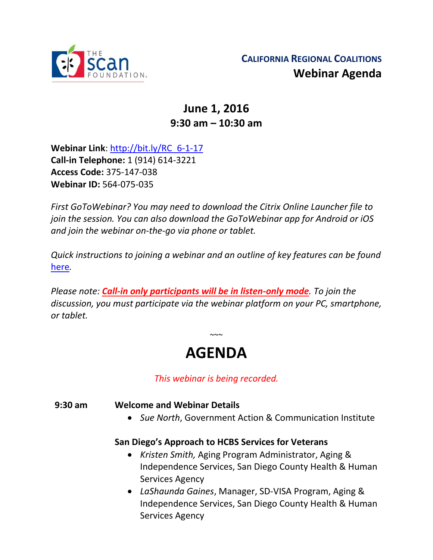

## **June 1, 2016 9:30 am – 10:30 am**

**Webinar Link**: [http://bit.ly/RC\\_6-1-17](http://bit.ly/RC_6-1-17) **Call-in Telephone:** 1 (914) 614-3221 **Access Code:** 375-147-038 **Webinar ID:** 564-075-035

*First GoToWebinar? You may need to download the Citrix Online Launcher file to join the session. You can also download the GoToWebinar app for Android or iOS and join the webinar on-the-go via phone or tablet.* 

*Quick instructions to joining a webinar and an outline of key features can be found*  [here](http://thescanfoundationsummit.homestead.com/GoToWebinar_Participant_Guide_3.pdf)*.*

*Please note: Call-in only participants will be in listen-only mode. To join the discussion, you must participate via the webinar platform on your PC, smartphone, or tablet.* 

# **AGENDA**

 $\sim$   $\sim$ 

*This webinar is being recorded.*

#### **9:30 am Welcome and Webinar Details**

• *Sue North*, Government Action & Communication Institute

#### **San Diego's Approach to HCBS Services for Veterans**

- *Kristen Smith,* Aging Program Administrator, Aging & Independence Services, San Diego County Health & Human Services Agency
- *LaShaunda Gaines*, Manager, SD-VISA Program, Aging & Independence Services, San Diego County Health & Human Services Agency